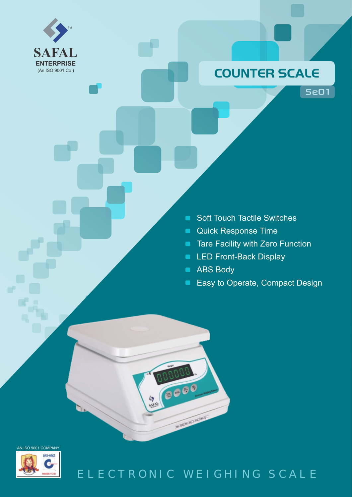

# **COUNTER SCALE**

Se01

- Soft Touch Tactile Switches
- Quick Response Time  $\blacksquare$
- Tare Facility with Zero Function  $\blacksquare$
- LED Front-Back Display  $\blacksquare$
- ABS Body  $\blacksquare$
- Easy to Operate, Compact Design



 $\mathbf{r}$ 

E L E C T R O N I C W E I G H I N G S C A L E

ACCORD RESIDENT

**MAN 8088**